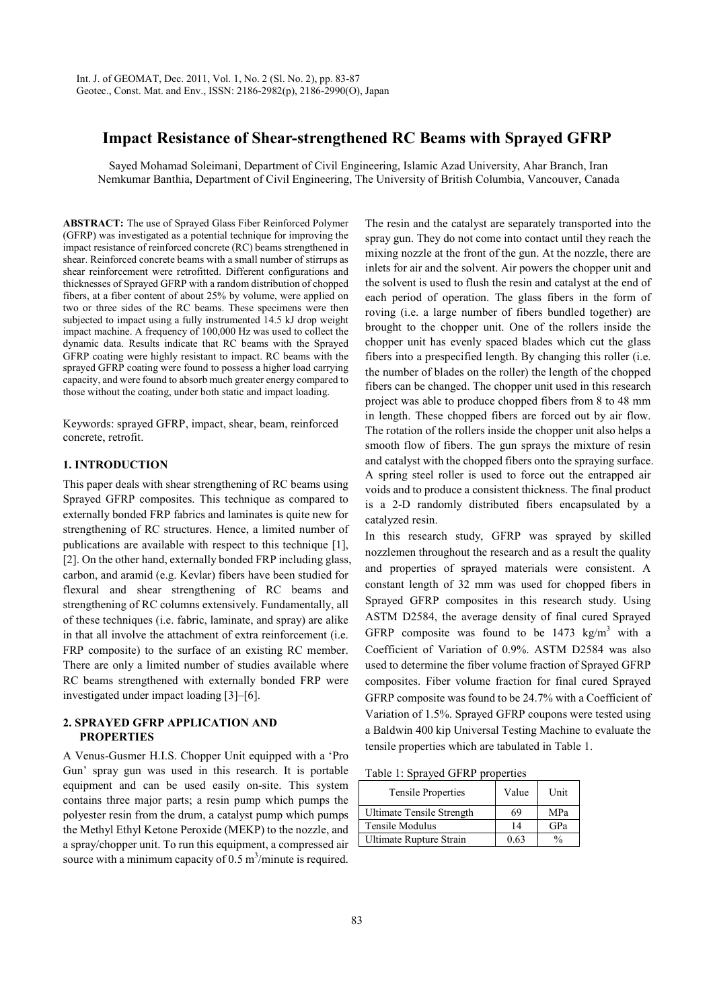# **Impact Resistance of Shear-strengthened RC Beams with Sprayed GFRP**

Sayed Mohamad Soleimani, Department of Civil Engineering, Islamic Azad University, Ahar Branch, Iran Nemkumar Banthia, Department of Civil Engineering, The University of British Columbia, Vancouver, Canada

**ABSTRACT:** The use of Sprayed Glass Fiber Reinforced Polymer (GFRP) was investigated as a potential technique for improving the impact resistance of reinforced concrete (RC) beams strengthened in shear. Reinforced concrete beams with a small number of stirrups as shear reinforcement were retrofitted. Different configurations and thicknesses of Sprayed GFRP with a random distribution of chopped fibers, at a fiber content of about 25% by volume, were applied on two or three sides of the RC beams. These specimens were then subjected to impact using a fully instrumented 14.5 kJ drop weight impact machine. A frequency of 100,000 Hz was used to collect the dynamic data. Results indicate that RC beams with the Sprayed GFRP coating were highly resistant to impact. RC beams with the sprayed GFRP coating were found to possess a higher load carrying capacity, and were found to absorb much greater energy compared to those without the coating, under both static and impact loading.

Keywords: sprayed GFRP, impact, shear, beam, reinforced concrete, retrofit.

# **1. INTRODUCTION**

This paper deals with shear strengthening of RC beams using Sprayed GFRP composites. This technique as compared to externally bonded FRP fabrics and laminates is quite new for strengthening of RC structures. Hence, a limited number of publications are available with respect to this technique [1], [2]. On the other hand, externally bonded FRP including glass, carbon, and aramid (e.g. Kevlar) fibers have been studied for flexural and shear strengthening of RC beams and strengthening of RC columns extensively. Fundamentally, all of these techniques (i.e. fabric, laminate, and spray) are alike in that all involve the attachment of extra reinforcement (i.e. FRP composite) to the surface of an existing RC member. There are only a limited number of studies available where RC beams strengthened with externally bonded FRP were investigated under impact loading [3]–[6].

### **2. SPRAYED GFRP APPLICATION AND PROPERTIES**

A Venus-Gusmer H.I.S. Chopper Unit equipped with a 'Pro Gun' spray gun was used in this research. It is portable equipment and can be used easily on-site. This system contains three major parts; a resin pump which pumps the polyester resin from the drum, a catalyst pump which pumps the Methyl Ethyl Ketone Peroxide (MEKP) to the nozzle, and a spray/chopper unit. To run this equipment, a compressed air source with a minimum capacity of  $0.5 \text{ m}^3/\text{minute}$  is required.

The resin and the catalyst are separately transported into the spray gun. They do not come into contact until they reach the mixing nozzle at the front of the gun. At the nozzle, there are inlets for air and the solvent. Air powers the chopper unit and the solvent is used to flush the resin and catalyst at the end of each period of operation. The glass fibers in the form of roving (i.e. a large number of fibers bundled together) are brought to the chopper unit. One of the rollers inside the chopper unit has evenly spaced blades which cut the glass fibers into a prespecified length. By changing this roller (i.e. the number of blades on the roller) the length of the chopped fibers can be changed. The chopper unit used in this research project was able to produce chopped fibers from 8 to 48 mm in length. These chopped fibers are forced out by air flow. The rotation of the rollers inside the chopper unit also helps a smooth flow of fibers. The gun sprays the mixture of resin and catalyst with the chopped fibers onto the spraying surface. A spring steel roller is used to force out the entrapped air voids and to produce a consistent thickness. The final product is a 2-D randomly distributed fibers encapsulated by a catalyzed resin.

In this research study, GFRP was sprayed by skilled nozzlemen throughout the research and as a result the quality and properties of sprayed materials were consistent. A constant length of 32 mm was used for chopped fibers in Sprayed GFRP composites in this research study. Using ASTM D2584, the average density of final cured Sprayed GFRP composite was found to be  $1473 \text{ kg/m}^3$  with a Coefficient of Variation of 0.9%. ASTM D2584 was also used to determine the fiber volume fraction of Sprayed GFRP composites. Fiber volume fraction for final cured Sprayed GFRP composite was found to be 24.7% with a Coefficient of Variation of 1.5%. Sprayed GFRP coupons were tested using a Baldwin 400 kip Universal Testing Machine to evaluate the tensile properties which are tabulated in Table 1.

Table 1: Sprayed GFRP properties

| <b>Tensile Properties</b>      | Value | Unit |  |
|--------------------------------|-------|------|--|
| Ultimate Tensile Strength      | 69    | MPa  |  |
| Tensile Modulus                | 14    | GPa  |  |
| <b>Ultimate Rupture Strain</b> |       |      |  |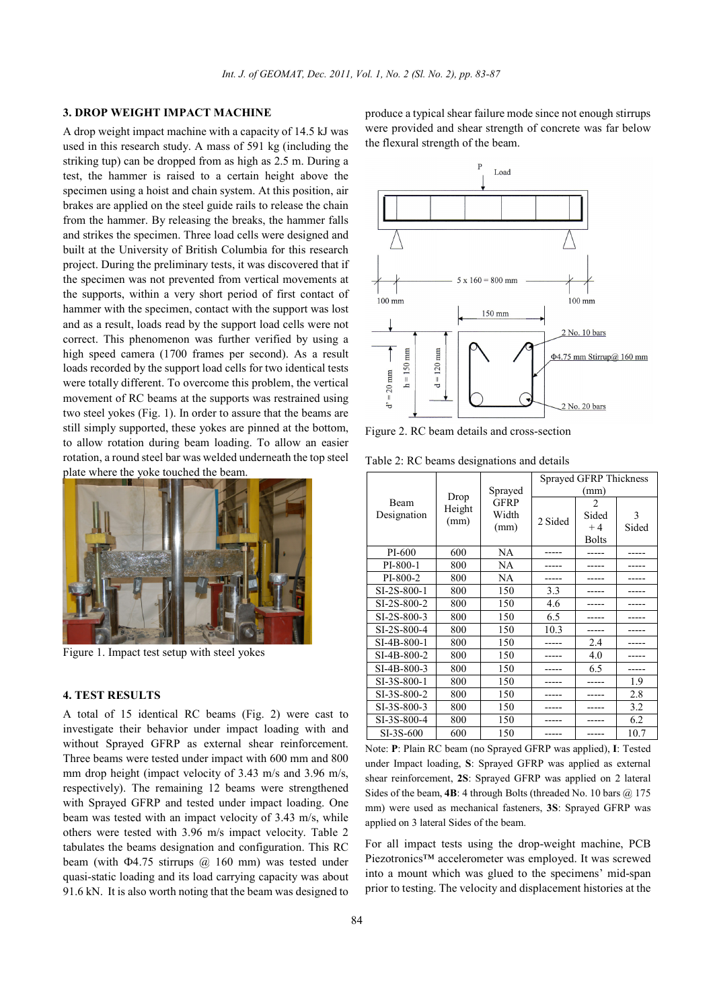# **3. DROP WEIGHT IMPACT MACHINE**

A drop weight impact machine with a capacity of 14.5 kJ was used in this research study. A mass of 591 kg (including the striking tup) can be dropped from as high as 2.5 m. During a test, the hammer is raised to a certain height above the specimen using a hoist and chain system. At this position, air brakes are applied on the steel guide rails to release the chain from the hammer. By releasing the breaks, the hammer falls and strikes the specimen. Three load cells were designed and built at the University of British Columbia for this research project. During the preliminary tests, it was discovered that if the specimen was not prevented from vertical movements at the supports, within a very short period of first contact of hammer with the specimen, contact with the support was lost and as a result, loads read by the support load cells were not correct. This phenomenon was further verified by using a high speed camera (1700 frames per second). As a result loads recorded by the support load cells for two identical tests were totally different. To overcome this problem, the vertical movement of RC beams at the supports was restrained using two steel yokes (Fig. 1). In order to assure that the beams are still simply supported, these yokes are pinned at the bottom, to allow rotation during beam loading. To allow an easier rotation, a round steel bar was welded underneath the top steel plate where the yoke touched the beam.



Figure 1. Impact test setup with steel yokes

#### **4. TEST RESULTS**

A total of 15 identical RC beams (Fig. 2) were cast to investigate their behavior under impact loading with and without Sprayed GFRP as external shear reinforcement. Three beams were tested under impact with 600 mm and 800 mm drop height (impact velocity of 3.43 m/s and 3.96 m/s, respectively). The remaining 12 beams were strengthened with Sprayed GFRP and tested under impact loading. One beam was tested with an impact velocity of 3.43 m/s, while others were tested with 3.96 m/s impact velocity. Table 2 tabulates the beams designation and configuration. This RC beam (with  $\Phi$ 4.75 stirrups  $\omega$  160 mm) was tested under quasi-static loading and its load carrying capacity was about 91.6 kN. It is also worth noting that the beam was designed to produce a typical shear failure mode since not enough stirrups were provided and shear strength of concrete was far below the flexural strength of the beam.



Figure 2. RC beam details and cross-section

Table 2: RC beams designations and details

| Beam        | Drop<br>Height | Sprayed<br><b>GFRP</b> | Sprayed GFRP Thickness |              |       |  |  |
|-------------|----------------|------------------------|------------------------|--------------|-------|--|--|
|             |                |                        | (mm)                   |              |       |  |  |
|             |                |                        |                        | 2            |       |  |  |
| Designation | (mm)           | Width                  | 2 Sided                | Sided        | 3     |  |  |
|             |                | (mm)                   |                        | $+4$         | Sided |  |  |
|             |                |                        |                        | <b>Bolts</b> |       |  |  |
| PI-600      | 600            | NA                     |                        |              |       |  |  |
| PI-800-1    | 800            | NA                     |                        |              |       |  |  |
| PI-800-2    | 800            | NA                     |                        |              |       |  |  |
| SI-2S-800-1 | 800            | 150                    | 3.3                    |              |       |  |  |
| SI-2S-800-2 | 800            | 150                    | 4.6                    |              |       |  |  |
| SI-2S-800-3 | 800            | 150                    | 6.5                    |              |       |  |  |
| SI-2S-800-4 | 800            | 150                    | 10.3                   |              |       |  |  |
| SI-4B-800-1 | 800            | 150                    |                        | 2.4          |       |  |  |
| SI-4B-800-2 | 800            | 150                    |                        | 4.0          |       |  |  |
| SI-4B-800-3 | 800            | 150                    |                        | 6.5          |       |  |  |
| SI-3S-800-1 | 800            | 150                    |                        |              | 1.9   |  |  |
| SI-3S-800-2 | 800            | 150                    |                        |              | 2.8   |  |  |
| SI-3S-800-3 | 800            | 150                    |                        |              | 3.2   |  |  |
| SI-3S-800-4 | 800            | 150                    |                        |              | 6.2   |  |  |
| SI-3S-600   | 600            | 150                    | ----                   |              | 10.7  |  |  |

Note: **P**: Plain RC beam (no Sprayed GFRP was applied), **I**: Tested under Impact loading, **S**: Sprayed GFRP was applied as external shear reinforcement, **2S**: Sprayed GFRP was applied on 2 lateral Sides of the beam,  $4B$ : 4 through Bolts (threaded No. 10 bars  $(a)$  175 mm) were used as mechanical fasteners, **3S**: Sprayed GFRP was applied on 3 lateral Sides of the beam.

For all impact tests using the drop-weight machine, PCB Piezotronics™ accelerometer was employed. It was screwed into a mount which was glued to the specimens' mid-span prior to testing. The velocity and displacement histories at the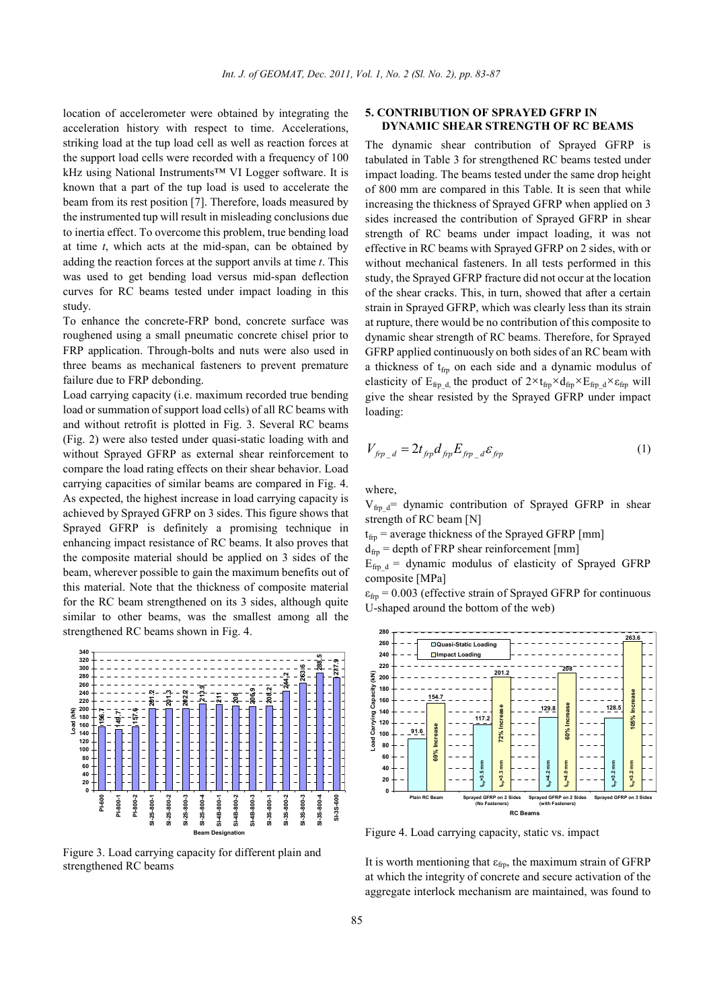location of accelerometer were obtained by integrating the acceleration history with respect to time. Accelerations, striking load at the tup load cell as well as reaction forces at the support load cells were recorded with a frequency of 100 kHz using National Instruments™ VI Logger software. It is known that a part of the tup load is used to accelerate the beam from its rest position [7]. Therefore, loads measured by the instrumented tup will result in misleading conclusions due to inertia effect. To overcome this problem, true bending load at time *t*, which acts at the mid-span, can be obtained by adding the reaction forces at the support anvils at time *t*. This was used to get bending load versus mid-span deflection curves for RC beams tested under impact loading in this study.

To enhance the concrete-FRP bond, concrete surface was roughened using a small pneumatic concrete chisel prior to FRP application. Through-bolts and nuts were also used in three beams as mechanical fasteners to prevent premature failure due to FRP debonding.

Load carrying capacity (i.e. maximum recorded true bending load or summation of support load cells) of all RC beams with and without retrofit is plotted in Fig. 3. Several RC beams (Fig. 2) were also tested under quasi-static loading with and without Sprayed GFRP as external shear reinforcement to compare the load rating effects on their shear behavior. Load carrying capacities of similar beams are compared in Fig. 4. As expected, the highest increase in load carrying capacity is achieved by Sprayed GFRP on 3 sides. This figure shows that Sprayed GFRP is definitely a promising technique in enhancing impact resistance of RC beams. It also proves that the composite material should be applied on 3 sides of the beam, wherever possible to gain the maximum benefits out of this material. Note that the thickness of composite material for the RC beam strengthened on its 3 sides, although quite similar to other beams, was the smallest among all the strengthened RC beams shown in Fig. 4.



Figure 3. Load carrying capacity for different plain and strengthened RC beams

#### **5. CONTRIBUTION OF SPRAYED GFRP IN DYNAMIC SHEAR STRENGTH OF RC BEAMS**

The dynamic shear contribution of Sprayed GFRP is tabulated in Table 3 for strengthened RC beams tested under impact loading. The beams tested under the same drop height of 800 mm are compared in this Table. It is seen that while increasing the thickness of Sprayed GFRP when applied on 3 sides increased the contribution of Sprayed GFRP in shear strength of RC beams under impact loading, it was not effective in RC beams with Sprayed GFRP on 2 sides, with or without mechanical fasteners. In all tests performed in this study, the Sprayed GFRP fracture did not occur at the location of the shear cracks. This, in turn, showed that after a certain strain in Sprayed GFRP, which was clearly less than its strain at rupture, there would be no contribution of this composite to dynamic shear strength of RC beams. Therefore, for Sprayed GFRP applied continuously on both sides of an RC beam with a thickness of  $t_{\text{fr}}$  on each side and a dynamic modulus of elasticity of  $E_{fip\_d}$ , the product of  $2 \times t_{fip} \times d_{fip} \times E_{fip\_d} \times \varepsilon_{fip}$  will give the shear resisted by the Sprayed GFRP under impact loading:

$$
V_{\hat{f}p_{d}} = 2t_{\hat{f}p}d_{\hat{f}p}E_{\hat{f}p_{d}}d\epsilon_{\hat{f}p} \tag{1}
$$

where,

 $V_{firp_d}$ = dynamic contribution of Sprayed GFRP in shear strength of RC beam [N]

 $t_{\text{frp}}$  = average thickness of the Sprayed GFRP [mm]  $d_{\text{fr}}$  = depth of FRP shear reinforcement [mm]  $E_{frp-d}$  = dynamic modulus of elasticity of Sprayed GFRP

composite [MPa]

 $\varepsilon_{\text{frp}}$  = 0.003 (effective strain of Sprayed GFRP for continuous U-shaped around the bottom of the web)



Figure 4. Load carrying capacity, static vs. impact

It is worth mentioning that  $\varepsilon_{\text{fro}}$ , the maximum strain of GFRP at which the integrity of concrete and secure activation of the aggregate interlock mechanism are maintained, was found to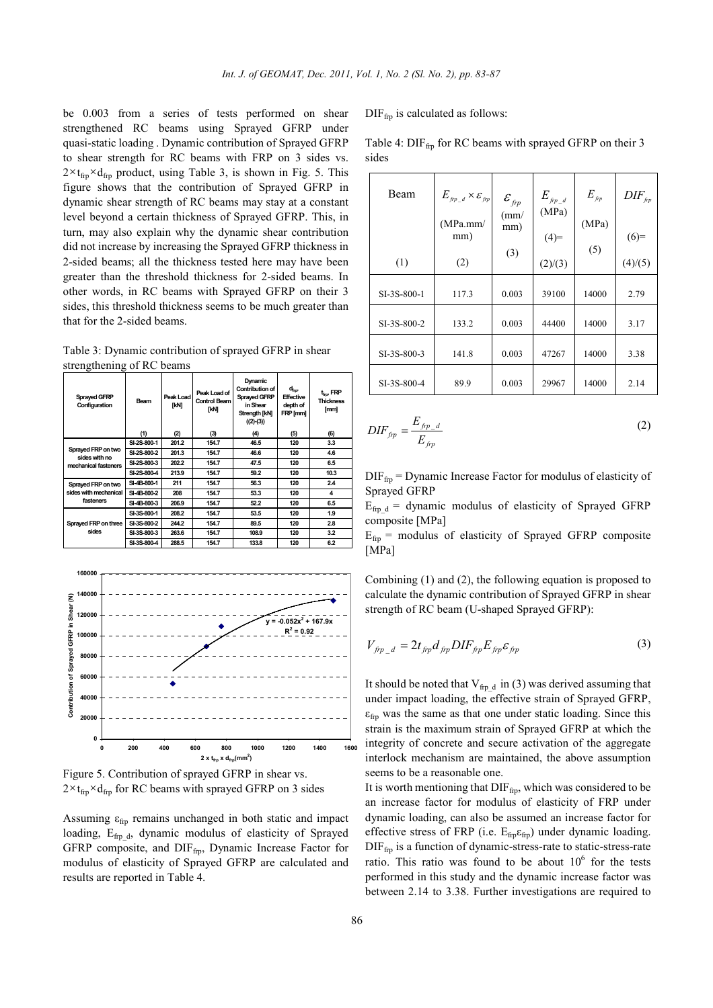be 0.003 from a series of tests performed on shear strengthened RC beams using Sprayed GFRP under quasi-static loading . Dynamic contribution of Sprayed GFRP to shear strength for RC beams with FRP on 3 sides vs.  $2 \times t_{\text{frp}} \times d_{\text{frp}}$  product, using Table 3, is shown in Fig. 5. This figure shows that the contribution of Sprayed GFRP in dynamic shear strength of RC beams may stay at a constant level beyond a certain thickness of Sprayed GFRP. This, in turn, may also explain why the dynamic shear contribution did not increase by increasing the Sprayed GFRP thickness in 2-sided beams; all the thickness tested here may have been greater than the threshold thickness for 2-sided beams. In other words, in RC beams with Sprayed GFRP on their 3 sides, this threshold thickness seems to be much greater than that for the 2-sided beams.

Table 3: Dynamic contribution of sprayed GFRP in shear strengthening of RC beams

| <b>Sprayed GFRP</b><br>Configuration                        | Beam        | Peak Load<br>[kN] | Peak Load of<br><b>Control Beam</b><br>[kN] | Dynamic<br><b>Contribution of</b><br>Sprayed GFRP<br>in Shear<br>Strength [kN]<br>$((2)-(3))$ | $d_{\text{fro}}$<br><b>Effective</b><br>depth of<br>FRP [mm] | $t_{\rm{fm}}$ , FRP<br><b>Thickness</b><br>[mm] |
|-------------------------------------------------------------|-------------|-------------------|---------------------------------------------|-----------------------------------------------------------------------------------------------|--------------------------------------------------------------|-------------------------------------------------|
|                                                             | (1)         | (2)               | (3)                                         | (4)                                                                                           | (5)                                                          | (6)                                             |
| Sprayed FRP on two<br>sides with no<br>mechanical fasteners | SI-2S-800-1 | 201.2             | 154.7                                       | 46.5                                                                                          | 120                                                          | 3.3                                             |
|                                                             | SI-2S-800-2 | 201.3             | 154.7                                       | 46.6                                                                                          | 120                                                          | 4.6                                             |
|                                                             | SI-2S-800-3 | 202.2             | 154.7                                       | 47.5                                                                                          | 120                                                          | 6.5                                             |
|                                                             | SI-2S-800-4 | 213.9             | 154.7                                       | 59.2                                                                                          | 120                                                          | 10.3                                            |
| Sprayed FRP on two<br>sides with mechanical<br>fasteners    | SI-4B-800-1 | 211               | 154.7                                       | 56.3                                                                                          | 120                                                          | 24                                              |
|                                                             | SI-4B-800-2 | 208               | 154.7                                       | 53.3                                                                                          | 120                                                          | 4                                               |
|                                                             | SI-4B-800-3 | 206.9             | 154.7                                       | 52.2                                                                                          | 120                                                          | 6.5                                             |
| Sprayed FRP on three<br>sides                               | SI-3S-800-1 | 208.2             | 154.7                                       | 53.5                                                                                          | 120                                                          | 1.9                                             |
|                                                             | SI-3S-800-2 | 244.2             | 154.7                                       | 89.5                                                                                          | 120                                                          | 28                                              |
|                                                             | SI-3S-800-3 | 263.6             | 154.7                                       | 108.9                                                                                         | 120                                                          | 3.2                                             |
|                                                             | SI-3S-800-4 | 288.5             | 154.7                                       | 133.8                                                                                         | 120                                                          | 6.2                                             |



Figure 5. Contribution of sprayed GFRP in shear vs.  $2 \times t_{\text{frp}} \times d_{\text{frp}}$  for RC beams with sprayed GFRP on 3 sides

Assuming  $\varepsilon_{\text{fm}}$  remains unchanged in both static and impact loading,  $E_{frp}$ <sub>d</sub>, dynamic modulus of elasticity of Sprayed GFRP composite, and DIFfrp, Dynamic Increase Factor for modulus of elasticity of Sprayed GFRP are calculated and results are reported in Table 4.

 $\text{DIF}_{\text{frn}}$  is calculated as follows:

| Beam        | $E_{\mathit{frp}\_d} \times \mathcal{E}_{\mathit{frp}}$ | $\mathcal{E}_{\mathit{f\!f\!p}}$<br>$\text{m}$ | $E_{\mathit{frp}\_d}$<br>(MPa) | $E_{\scriptscriptstyle\it fpp}$ | $\mathit{DIF}_{\scriptscriptstyle \mathit{fpp}}$ |
|-------------|---------------------------------------------------------|------------------------------------------------|--------------------------------|---------------------------------|--------------------------------------------------|
|             | (MPa.mm/<br>mm)                                         | mm)<br>(3)                                     | $(4)=$                         | (MPa)<br>(5)                    | $(6)=$                                           |
| (1)         | (2)                                                     |                                                | (2)/(3)                        |                                 | (4)/(5)                                          |
| SI-3S-800-1 | 117.3                                                   | 0.003                                          | 39100                          | 14000                           | 2.79                                             |
| SI-3S-800-2 | 133.2                                                   | 0.003                                          | 44400                          | 14000                           | 3.17                                             |
| SI-3S-800-3 | 141.8                                                   | 0.003                                          | 47267                          | 14000                           | 3.38                                             |
| SI-3S-800-4 | 89.9                                                    | 0.003                                          | 29967                          | 14000                           | 2.14                                             |

Table 4:  $\text{DIF}_{\text{ftp}}$  for RC beams with sprayed GFRP on their 3 sides

$$
DIF_{frp} = \frac{E_{frp\_d}}{E_{frp}}\tag{2}
$$

 $\text{DIF}_{\text{ftp}} = \text{Dynamic Increase Factor for modulus of elasticity of}$ Sprayed GFRP

 $E_{\text{fm d}} =$  dynamic modulus of elasticity of Sprayed GFRP composite [MPa]

 $E_{\text{frp}}$  = modulus of elasticity of Sprayed GFRP composite [MPa]

Combining (1) and (2), the following equation is proposed to calculate the dynamic contribution of Sprayed GFRP in shear strength of RC beam (U-shaped Sprayed GFRP):

$$
V_{\hat{J}p_{-}d} = 2t_{\hat{J}p}d_{\hat{J}p}DIF_{\hat{J}p}E_{\hat{J}p}\varepsilon_{\hat{J}p} \tag{3}
$$

It should be noted that  $V_{fp_d}$  in (3) was derived assuming that under impact loading, the effective strain of Sprayed GFRP,  $\varepsilon_{\text{fro}}$  was the same as that one under static loading. Since this strain is the maximum strain of Sprayed GFRP at which the integrity of concrete and secure activation of the aggregate interlock mechanism are maintained, the above assumption seems to be a reasonable one.

It is worth mentioning that  $\text{DIF}_{\text{frp}}$ , which was considered to be an increase factor for modulus of elasticity of FRP under dynamic loading, can also be assumed an increase factor for effective stress of FRP (i.e.  $E_{\text{fm}}\varepsilon_{\text{fm}}$ ) under dynamic loading.  $\text{DIF}_{\text{frn}}$  is a function of dynamic-stress-rate to static-stress-rate ratio. This ratio was found to be about  $10<sup>6</sup>$  for the tests performed in this study and the dynamic increase factor was between 2.14 to 3.38. Further investigations are required to